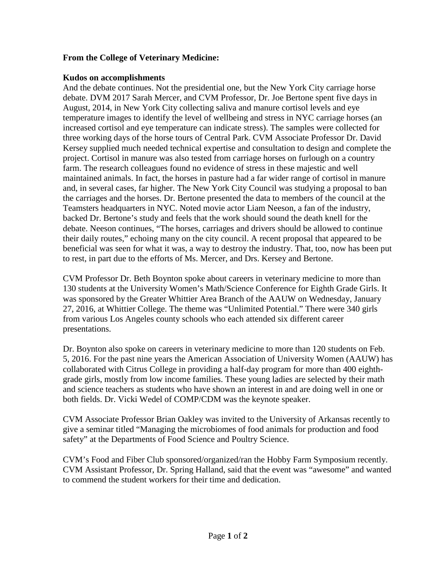## **From the College of Veterinary Medicine:**

## **Kudos on accomplishments**

And the debate continues. Not the presidential one, but the New York City carriage horse debate. DVM 2017 Sarah Mercer, and CVM Professor, Dr. Joe Bertone spent five days in August, 2014, in New York City collecting saliva and manure cortisol levels and eye temperature images to identify the level of wellbeing and stress in NYC carriage horses (an increased cortisol and eye temperature can indicate stress). The samples were collected for three working days of the horse tours of Central Park. CVM Associate Professor Dr. David Kersey supplied much needed technical expertise and consultation to design and complete the project. Cortisol in manure was also tested from carriage horses on furlough on a country farm. The research colleagues found no evidence of stress in these majestic and well maintained animals. In fact, the horses in pasture had a far wider range of cortisol in manure and, in several cases, far higher. The New York City Council was studying a proposal to ban the carriages and the horses. Dr. Bertone presented the data to members of the council at the Teamsters headquarters in NYC. Noted movie actor Liam Neeson, a fan of the industry, backed Dr. Bertone's study and feels that the work should sound the death knell for the debate. Neeson continues, "The horses, carriages and drivers should be allowed to continue their daily routes," echoing many on the city council. A recent proposal that appeared to be beneficial was seen for what it was, a way to destroy the industry. That, too, now has been put to rest, in part due to the efforts of Ms. Mercer, and Drs. Kersey and Bertone.

CVM Professor Dr. Beth Boynton spoke about careers in veterinary medicine to more than 130 students at the University Women's Math/Science Conference for Eighth Grade Girls. It was sponsored by the Greater Whittier Area Branch of the AAUW on Wednesday, January 27, 2016, at Whittier College. The theme was "Unlimited Potential." There were 340 girls from various Los Angeles county schools who each attended six different career presentations.

Dr. Boynton also spoke on careers in veterinary medicine to more than 120 students on Feb. 5, 2016. For the past nine years the American Association of University Women (AAUW) has collaborated with Citrus College in providing a half-day program for more than 400 eighthgrade girls, mostly from low income families. These young ladies are selected by their math and science teachers as students who have shown an interest in and are doing well in one or both fields. Dr. Vicki Wedel of COMP/CDM was the keynote speaker.

CVM Associate Professor Brian Oakley was invited to the University of Arkansas recently to give a seminar titled "Managing the microbiomes of food animals for production and food safety" at the Departments of Food Science and Poultry Science.

CVM's Food and Fiber Club sponsored/organized/ran the Hobby Farm Symposium recently. CVM Assistant Professor, Dr. Spring Halland, said that the event was "awesome" and wanted to commend the student workers for their time and dedication.